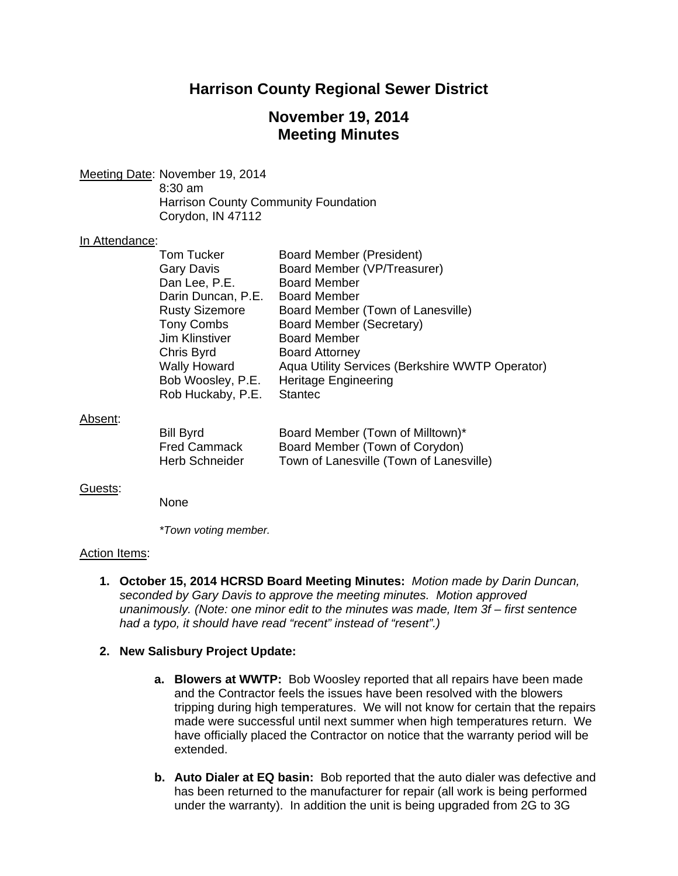# **Harrison County Regional Sewer District**

# **November 19, 2014 Meeting Minutes**

Meeting Date: November 19, 2014 8:30 am Harrison County Community Foundation Corydon, IN 47112

#### In Attendance:

| <b>Tom Tucker</b>     | <b>Board Member (President)</b>                 |
|-----------------------|-------------------------------------------------|
| <b>Gary Davis</b>     | Board Member (VP/Treasurer)                     |
| Dan Lee, P.E.         | <b>Board Member</b>                             |
| Darin Duncan, P.E.    | <b>Board Member</b>                             |
| <b>Rusty Sizemore</b> | Board Member (Town of Lanesville)               |
| <b>Tony Combs</b>     | Board Member (Secretary)                        |
| <b>Jim Klinstiver</b> | <b>Board Member</b>                             |
| Chris Byrd            | <b>Board Attorney</b>                           |
| <b>Wally Howard</b>   | Aqua Utility Services (Berkshire WWTP Operator) |
| Bob Woosley, P.E.     | <b>Heritage Engineering</b>                     |
| Rob Huckaby, P.E.     | <b>Stantec</b>                                  |
|                       |                                                 |

## Absent:

| Bill Byrd             | Board Member (Town of Milltown)*        |
|-----------------------|-----------------------------------------|
| <b>Fred Cammack</b>   | Board Member (Town of Corydon)          |
| <b>Herb Schneider</b> | Town of Lanesville (Town of Lanesville) |

## Guests:

None

 *\*Town voting member.* 

## Action Items:

**1. October 15, 2014 HCRSD Board Meeting Minutes:** *Motion made by Darin Duncan, seconded by Gary Davis to approve the meeting minutes. Motion approved unanimously. (Note: one minor edit to the minutes was made, Item 3f – first sentence had a typo, it should have read "recent" instead of "resent".)*

## **2. New Salisbury Project Update:**

- **a. Blowers at WWTP:** Bob Woosley reported that all repairs have been made and the Contractor feels the issues have been resolved with the blowers tripping during high temperatures. We will not know for certain that the repairs made were successful until next summer when high temperatures return. We have officially placed the Contractor on notice that the warranty period will be extended.
- **b. Auto Dialer at EQ basin:** Bob reported that the auto dialer was defective and has been returned to the manufacturer for repair (all work is being performed under the warranty). In addition the unit is being upgraded from 2G to 3G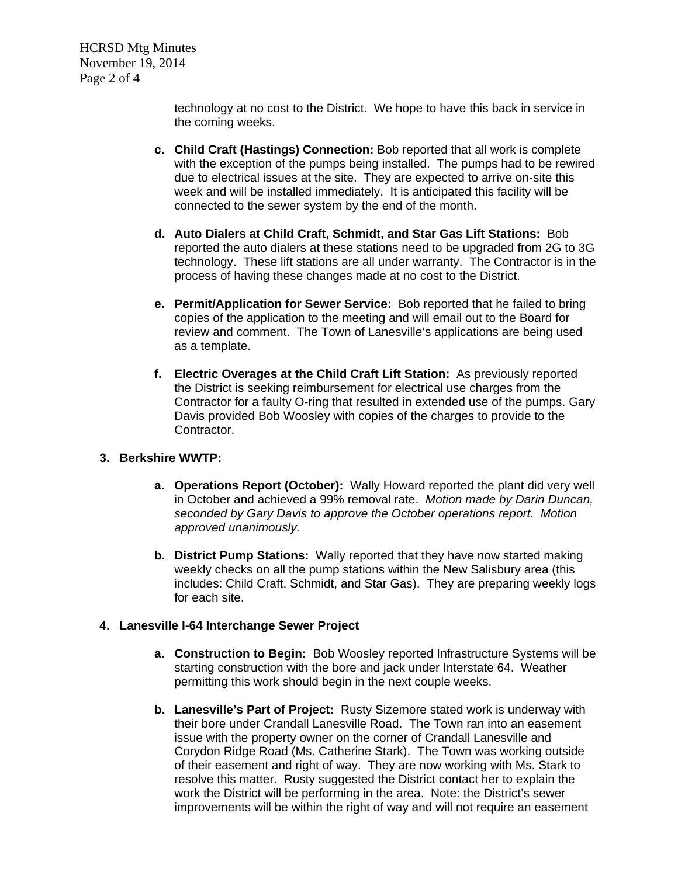HCRSD Mtg Minutes November 19, 2014 Page 2 of 4

> technology at no cost to the District. We hope to have this back in service in the coming weeks.

- **c. Child Craft (Hastings) Connection:** Bob reported that all work is complete with the exception of the pumps being installed. The pumps had to be rewired due to electrical issues at the site. They are expected to arrive on-site this week and will be installed immediately. It is anticipated this facility will be connected to the sewer system by the end of the month.
- **d. Auto Dialers at Child Craft, Schmidt, and Star Gas Lift Stations:** Bob reported the auto dialers at these stations need to be upgraded from 2G to 3G technology. These lift stations are all under warranty. The Contractor is in the process of having these changes made at no cost to the District.
- **e. Permit/Application for Sewer Service:** Bob reported that he failed to bring copies of the application to the meeting and will email out to the Board for review and comment. The Town of Lanesville's applications are being used as a template.
- **f. Electric Overages at the Child Craft Lift Station:** As previously reported the District is seeking reimbursement for electrical use charges from the Contractor for a faulty O-ring that resulted in extended use of the pumps. Gary Davis provided Bob Woosley with copies of the charges to provide to the Contractor.

## **3. Berkshire WWTP:**

- **a. Operations Report (October):** Wally Howard reported the plant did very well in October and achieved a 99% removal rate. *Motion made by Darin Duncan, seconded by Gary Davis to approve the October operations report. Motion approved unanimously.*
- **b. District Pump Stations:** Wally reported that they have now started making weekly checks on all the pump stations within the New Salisbury area (this includes: Child Craft, Schmidt, and Star Gas). They are preparing weekly logs for each site.

## **4. Lanesville I-64 Interchange Sewer Project**

- **a. Construction to Begin:** Bob Woosley reported Infrastructure Systems will be starting construction with the bore and jack under Interstate 64. Weather permitting this work should begin in the next couple weeks.
- **b. Lanesville's Part of Project:** Rusty Sizemore stated work is underway with their bore under Crandall Lanesville Road. The Town ran into an easement issue with the property owner on the corner of Crandall Lanesville and Corydon Ridge Road (Ms. Catherine Stark). The Town was working outside of their easement and right of way. They are now working with Ms. Stark to resolve this matter. Rusty suggested the District contact her to explain the work the District will be performing in the area. Note: the District's sewer improvements will be within the right of way and will not require an easement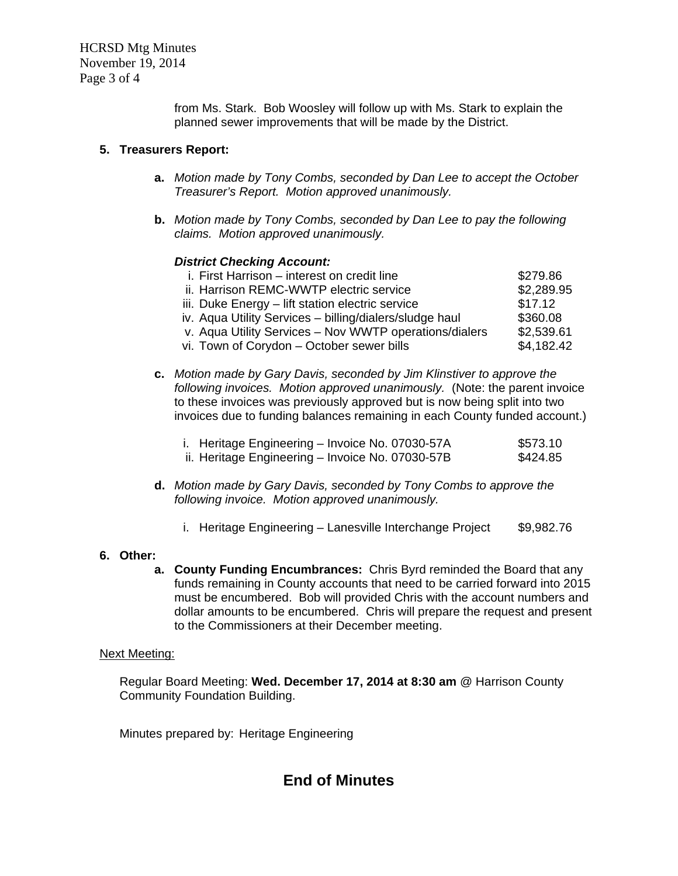HCRSD Mtg Minutes November 19, 2014 Page 3 of 4

> from Ms. Stark. Bob Woosley will follow up with Ms. Stark to explain the planned sewer improvements that will be made by the District.

## **5. Treasurers Report:**

- **a.** *Motion made by Tony Combs, seconded by Dan Lee to accept the October Treasurer's Report. Motion approved unanimously.*
- **b.** *Motion made by Tony Combs, seconded by Dan Lee to pay the following claims. Motion approved unanimously.*

## *District Checking Account:*

| i. First Harrison – interest on credit line             | \$279.86   |
|---------------------------------------------------------|------------|
| ii. Harrison REMC-WWTP electric service                 | \$2,289.95 |
| iii. Duke Energy – lift station electric service        | \$17.12    |
| iv. Aqua Utility Services - billing/dialers/sludge haul | \$360.08   |
| v. Aqua Utility Services - Nov WWTP operations/dialers  | \$2,539.61 |
| vi. Town of Corydon - October sewer bills               | \$4,182.42 |

**c.** *Motion made by Gary Davis, seconded by Jim Klinstiver to approve the following invoices. Motion approved unanimously.* (Note: the parent invoice to these invoices was previously approved but is now being split into two invoices due to funding balances remaining in each County funded account.)

| i. Heritage Engineering - Invoice No. 07030-57A  | \$573.10 |
|--------------------------------------------------|----------|
| ii. Heritage Engineering - Invoice No. 07030-57B | \$424.85 |

- **d.** *Motion made by Gary Davis, seconded by Tony Combs to approve the following invoice. Motion approved unanimously.* 
	- i. Heritage Engineering Lanesville Interchange Project \$9,982.76

## **6. Other:**

**a. County Funding Encumbrances:** Chris Byrd reminded the Board that any funds remaining in County accounts that need to be carried forward into 2015 must be encumbered. Bob will provided Chris with the account numbers and dollar amounts to be encumbered. Chris will prepare the request and present to the Commissioners at their December meeting.

## Next Meeting:

Regular Board Meeting: **Wed. December 17, 2014 at 8:30 am** @ Harrison County Community Foundation Building.

Minutes prepared by: Heritage Engineering

# **End of Minutes**